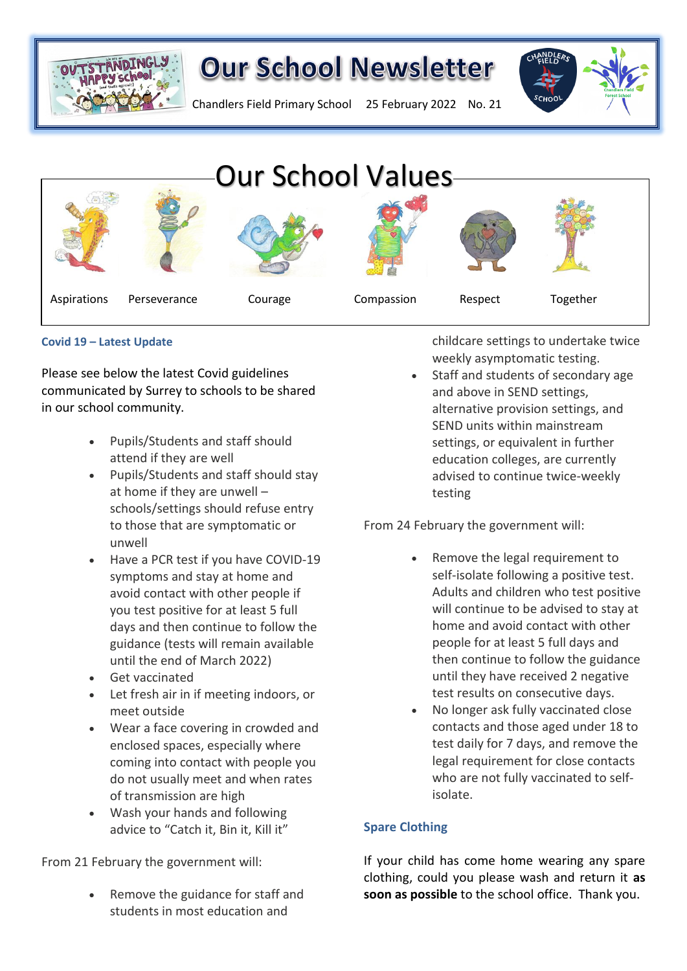

## **Our School Newsletter**



Chandlers Field Primary School 25 February 2022 No. 21



### **Covid 19 – Latest Update**

Please see below the latest Covid guidelines communicated by Surrey to schools to be shared in our school community.

- Pupils/Students and staff should attend if they are well
- Pupils/Students and staff should stay at home if they are unwell – schools/settings should refuse entry to those that are symptomatic or unwell
- Have a PCR test if you have COVID-19 symptoms and stay at home and avoid contact with other people if you test positive for at least 5 full days and then continue to follow the guidance (tests will remain available until the end of March 2022)
- Get vaccinated
- Let fresh air in if meeting indoors, or meet outside
- Wear a face covering in crowded and enclosed spaces, especially where coming into contact with people you do not usually meet and when rates of transmission are high
- Wash your hands and following advice to "Catch it, Bin it, Kill it"

From 21 February the government will:

Remove the guidance for staff and students in most education and

childcare settings to undertake twice weekly asymptomatic testing.

Staff and students of secondary age and above in SEND settings, alternative provision settings, and SEND units within mainstream settings, or equivalent in further education colleges, are currently advised to continue twice-weekly testing

From 24 February the government will:

- Remove the legal requirement to self-isolate following a positive test. Adults and children who test positive will continue to be advised to stay at home and avoid contact with other people for at least 5 full days and then continue to follow the guidance until they have received 2 negative test results on consecutive days.
- No longer ask fully vaccinated close contacts and those aged under 18 to test daily for 7 days, and remove the legal requirement for close contacts who are not fully vaccinated to selfisolate.

### **Spare Clothing**

If your child has come home wearing any spare clothing, could you please wash and return it **as soon as possible** to the school office. Thank you.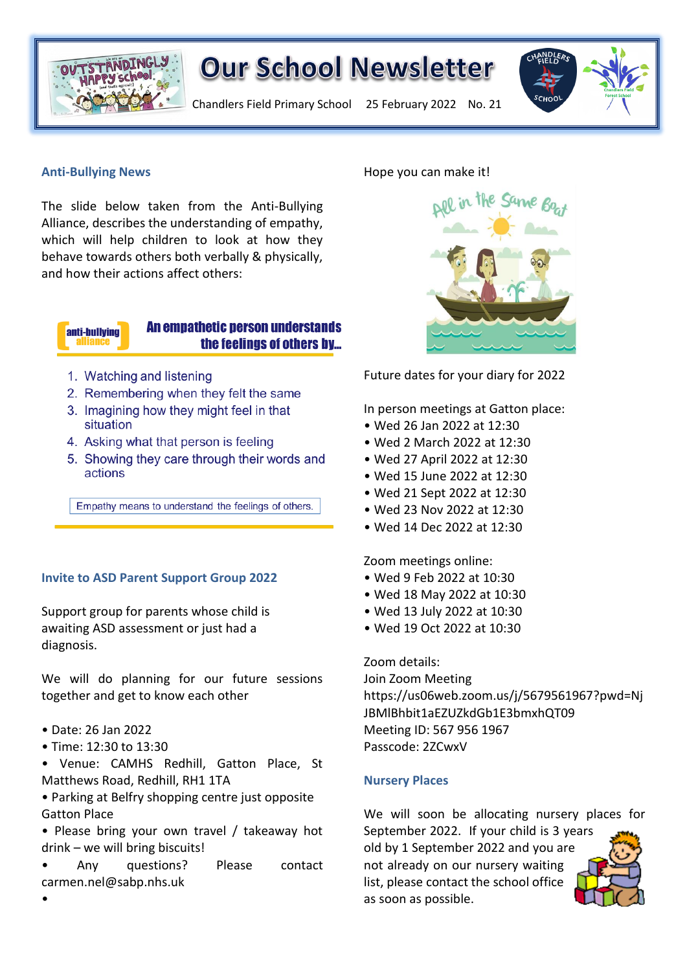

## **Our School Newsletter**

Chandlers Field Primary School 25 February 2022 No. 21



### **Anti-Bullying News**

The slide below taken from the Anti-Bullying Alliance, describes the understanding of empathy, which will help children to look at how they behave towards others both verbally & physically, and how their actions affect others:

## anti-bullving

### **An empathetic person understands** the feelings of others by...

- 1. Watching and listening
- 2. Remembering when they felt the same
- 3. Imagining how they might feel in that situation
- 4. Asking what that person is feeling
- 5. Showing they care through their words and actions

Empathy means to understand the feelings of others.

### **Invite to ASD Parent Support Group 2022**

Support group for parents whose child is awaiting ASD assessment or just had a diagnosis.

We will do planning for our future sessions together and get to know each other

- Date: 26 Jan 2022
- Time: 12:30 to 13:30
- Venue: CAMHS Redhill, Gatton Place, St Matthews Road, Redhill, RH1 1TA
- Parking at Belfry shopping centre just opposite Gatton Place
- Please bring your own travel / takeaway hot drink – we will bring biscuits!
- Any questions? Please contact carmen.nel@sabp.nhs.uk

### Hope you can make it!

Future dates for your diary for 2022

In person meetings at Gatton place:

- Wed 26 Jan 2022 at 12:30
- Wed 2 March 2022 at 12:30
- Wed 27 April 2022 at 12:30
- Wed 15 June 2022 at 12:30
- Wed 21 Sept 2022 at 12:30
- Wed 23 Nov 2022 at 12:30
- Wed 14 Dec 2022 at 12:30

Zoom meetings online:

- Wed 9 Feb 2022 at 10:30
- Wed 18 May 2022 at 10:30
- Wed 13 July 2022 at 10:30
- Wed 19 Oct 2022 at 10:30

Zoom details: Join Zoom Meeting https://us06web.zoom.us/j/5679561967?pwd=Nj JBMlBhbit1aEZUZkdGb1E3bmxhQT09 Meeting ID: 567 956 1967 Passcode: 2ZCwxV

### **Nursery Places**

We will soon be allocating nursery places for September 2022. If your child is 3 years old by 1 September 2022 and you are not already on our nursery waiting list, please contact the school office as soon as possible.

•